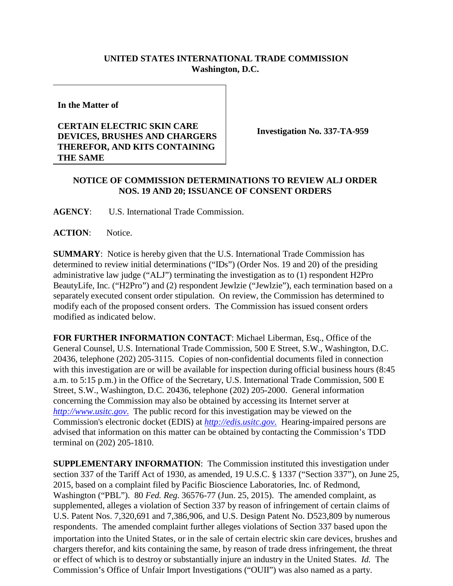## **UNITED STATES INTERNATIONAL TRADE COMMISSION Washington, D.C.**

**In the Matter of**

## **CERTAIN ELECTRIC SKIN CARE DEVICES, BRUSHES AND CHARGERS THEREFOR, AND KITS CONTAINING THE SAME**

**Investigation No. 337-TA-959**

## **NOTICE OF COMMISSION DETERMINATIONS TO REVIEW ALJ ORDER NOS. 19 AND 20; ISSUANCE OF CONSENT ORDERS**

**AGENCY**: U.S. International Trade Commission.

**ACTION**: Notice.

**SUMMARY**: Notice is hereby given that the U.S. International Trade Commission has determined to review initial determinations ("IDs") (Order Nos. 19 and 20) of the presiding administrative law judge ("ALJ") terminating the investigation as to (1) respondent H2Pro BeautyLife, Inc. ("H2Pro") and (2) respondent Jewlzie ("Jewlzie"), each termination based on a separately executed consent order stipulation. On review, the Commission has determined to modify each of the proposed consent orders. The Commission has issued consent orders modified as indicated below.

**FOR FURTHER INFORMATION CONTACT**: Michael Liberman, Esq., Office of the General Counsel, U.S. International Trade Commission, 500 E Street, S.W., Washington, D.C. 20436, telephone (202) 205-3115. Copies of non-confidential documents filed in connection with this investigation are or will be available for inspection during official business hours (8:45 a.m. to 5:15 p.m.) in the Office of the Secretary, U.S. International Trade Commission, 500 E Street, S.W., Washington, D.C. 20436, telephone (202) 205-2000. General information concerning the Commission may also be obtained by accessing its Internet server at *[http://www.usitc.gov](http://www.usitc.gov./)*. The public record for this investigation may be viewed on the Commission's electronic docket (EDIS) at *[http://edis.usitc.gov](http://edis.usitc.gov./)*. Hearing-impaired persons are advised that information on this matter can be obtained by contacting the Commission's TDD terminal on (202) 205-1810.

**SUPPLEMENTARY INFORMATION**: The Commission instituted this investigation under section 337 of the Tariff Act of 1930, as amended, 19 U.S.C. § 1337 ("Section 337"), on June 25, 2015, based on a complaint filed by Pacific Bioscience Laboratories, Inc. of Redmond, Washington ("PBL"). 80 *Fed. Reg.* 36576-77 (Jun. 25, 2015). The amended complaint, as supplemented, alleges a violation of Section 337 by reason of infringement of certain claims of U.S. Patent Nos. 7,320,691 and 7,386,906, and U.S. Design Patent No. D523,809 by numerous respondents. The amended complaint further alleges violations of Section 337 based upon the importation into the United States, or in the sale of certain electric skin care devices, brushes and chargers therefor, and kits containing the same, by reason of trade dress infringement, the threat or effect of which is to destroy or substantially injure an industry in the United States. *Id.* The Commission's Office of Unfair Import Investigations ("OUII") was also named as a party.